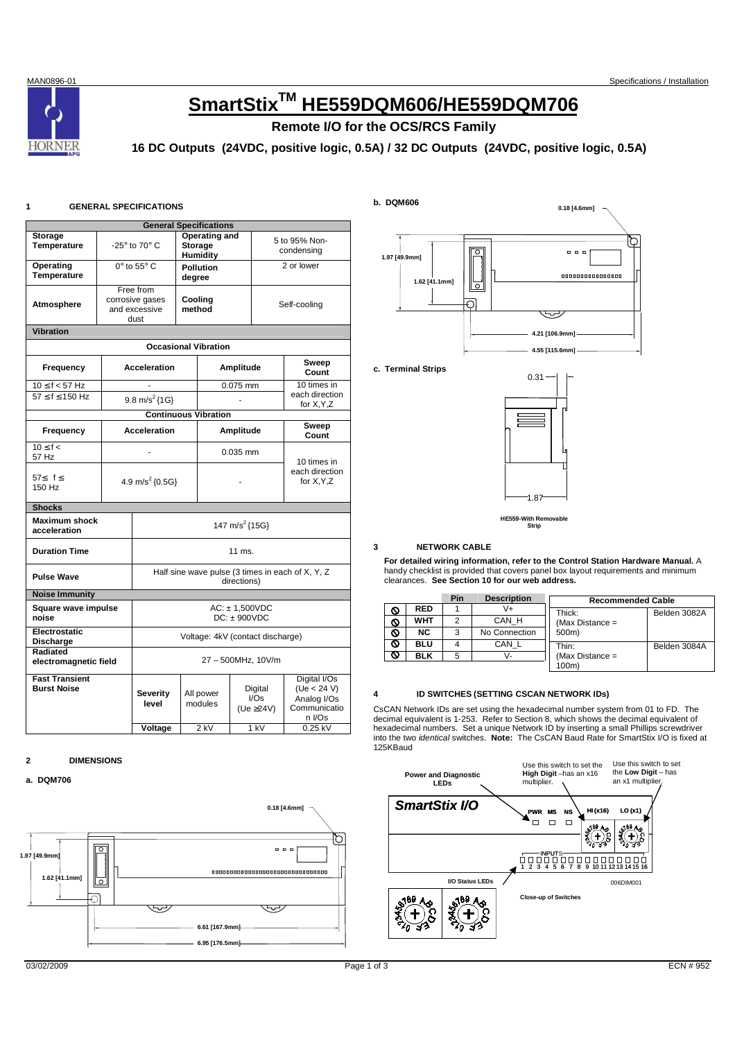# **HORNER**

# **SmartStixTM HE559DQM606/HE559DQM706**

## **Remote I/O for the OCS/RCS Family**

### **16 DC Outputs (24VDC, positive logic, 0.5A) / 32 DC Outputs (24VDC, positive logic, 0.5A)**

#### **1 GENERAL SPECIFICATIONS**

|                                             | <b>General Specifications</b>        |                                                                 |        |                                |            |                                      |                                                                                 |  |  |
|---------------------------------------------|--------------------------------------|-----------------------------------------------------------------|--------|--------------------------------|------------|--------------------------------------|---------------------------------------------------------------------------------|--|--|
| <b>Storage</b>                              |                                      |                                                                 |        | Operating and                  |            | 5 to 95% Non-                        |                                                                                 |  |  |
| Temperature                                 |                                      | -25° to 70° C<br><b>Storage</b><br>Humidity                     |        |                                | condensing |                                      |                                                                                 |  |  |
| Operating                                   |                                      | $0^\circ$ to $55^\circ$ C                                       |        | <b>Pollution</b>               |            |                                      | 2 or lower                                                                      |  |  |
| Temperature                                 |                                      |                                                                 | degree |                                |            |                                      |                                                                                 |  |  |
|                                             |                                      | Free from<br>corrosive gases                                    |        | Cooling                        |            |                                      |                                                                                 |  |  |
| Atmosphere                                  |                                      | and excessive                                                   |        | method                         |            |                                      | Self-cooling                                                                    |  |  |
|                                             |                                      | dust                                                            |        |                                |            |                                      |                                                                                 |  |  |
| <b>Vibration</b>                            |                                      |                                                                 |        |                                |            |                                      |                                                                                 |  |  |
|                                             |                                      |                                                                 |        | <b>Occasional Vibration</b>    |            |                                      |                                                                                 |  |  |
| Frequency                                   |                                      | <b>Acceleration</b>                                             |        |                                | Amplitude  |                                      | Sweep<br>Count                                                                  |  |  |
| $10 \le f < 57$ Hz                          |                                      | ä,                                                              |        |                                | $0.075$ mm |                                      | $10$ times in<br>each direction                                                 |  |  |
| $57 < f < 150$ Hz                           |                                      | 9.8 m/s <sup>2</sup> ${1G}$                                     |        |                                |            |                                      | for X, Y, Z                                                                     |  |  |
|                                             |                                      | <b>Continuous Vibration</b>                                     |        |                                |            |                                      |                                                                                 |  |  |
| Frequency                                   |                                      | <b>Acceleration</b>                                             |        | Amplitude                      |            |                                      | Sweep<br>Count                                                                  |  |  |
| $10 \leq f <$<br>57 Hz                      |                                      | ä,                                                              |        | $0.035$ mm                     |            |                                      | 10 times in                                                                     |  |  |
| 57≤ f≤<br>150 Hz                            | 4.9 m/s <sup>2</sup> ${0.5G}$        |                                                                 |        |                                |            | each direction<br>for X, Y, Z        |                                                                                 |  |  |
| <b>Shocks</b>                               |                                      |                                                                 |        |                                |            |                                      |                                                                                 |  |  |
| <b>Maximum shock</b><br>acceleration        | 147 m/s <sup>2</sup> {15G}           |                                                                 |        |                                |            |                                      |                                                                                 |  |  |
| <b>Duration Time</b>                        |                                      |                                                                 |        | 11 ms.                         |            |                                      |                                                                                 |  |  |
| <b>Pulse Wave</b>                           |                                      | Half sine wave pulse (3 times in each of X, Y, Z<br>directions) |        |                                |            |                                      |                                                                                 |  |  |
| <b>Noise Immunity</b>                       |                                      |                                                                 |        |                                |            |                                      |                                                                                 |  |  |
| Square wave impulse<br>noise                | $AC: \pm 1,500VDC$<br>$DC: + 900VDC$ |                                                                 |        |                                |            |                                      |                                                                                 |  |  |
| Electrostatic<br><b>Discharge</b>           |                                      | Voltage: 4kV (contact discharge)                                |        |                                |            |                                      |                                                                                 |  |  |
| Radiated<br>electromagnetic field           |                                      | 27 - 500MHz, 10V/m                                              |        |                                |            |                                      |                                                                                 |  |  |
| <b>Fast Transient</b><br><b>Burst Noise</b> |                                      | Severity<br>level<br>Voltage                                    |        | All power<br>modules<br>$2$ kV |            | Digital<br>I/Os<br>(Ue ≥24V)<br>1 kV | Digital I/Os<br>(Ue < 24 V)<br>Analog I/Os<br>Communicatio<br>n I/Os<br>0.25 kV |  |  |
|                                             |                                      |                                                                 |        |                                |            |                                      |                                                                                 |  |  |

#### **2 DIMENSIONS**

#### **a. DQM706**





**c. Terminal Strips** 



**HE559-With Removable Strip** 

#### **3 NETWORK CABLE**

**For detailed wiring information, refer to the Control Station Hardware Manual.** A handy checklist is provided that covers panel box layout requirements and minimum clearances. **See Section 10 for our web address.** 

|            | Pin | <b>Description</b> | <b>Recommended Cable</b> |              |
|------------|-----|--------------------|--------------------------|--------------|
| <b>RED</b> |     |                    | Thick:                   | Belden 3082A |
| WHT        |     | CAN H              | (Max Distance $=$        |              |
| NC.        | 3   | No Connection      | 500m)                    |              |
| BLU        |     | CAN L              | Thin:                    | Belden 3084A |
| BLK        | 5   | v-                 | (Max Distance $=$        |              |
|            |     |                    | 100m)                    |              |

#### **4 ID SWITCHES (SETTING CSCAN NETWORK IDs)**

CsCAN Network IDs are set using the hexadecimal number system from 01 to FD. The decimal equivalent is 1-253. Refer to Section 8, which shows the decimal equivalent of hexadecimal numbers. Set a unique Network ID by inserting a small Phillips screwdriver into the two identical switches. **Note:** The CsCAN Baud Rate for SmartStix I/O is fixed at 125KBaud

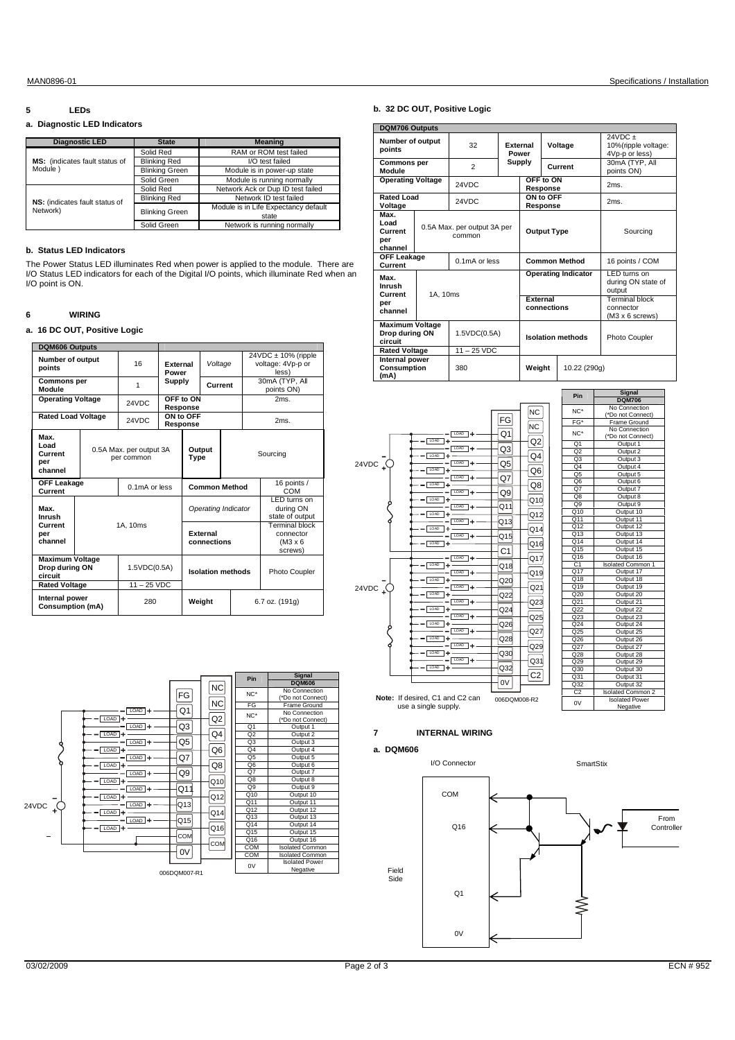#### MAN0896-01 Specifications / Installation

#### **5 LEDs**

#### **a. Diagnostic LED Indicators**

| <b>Diagnostic LED</b>          | <b>State</b>          | <b>Meaning</b>                       |  |  |
|--------------------------------|-----------------------|--------------------------------------|--|--|
|                                | Solid Red             | RAM or ROM test failed               |  |  |
| MS: (indicates fault status of | <b>Blinking Red</b>   | I/O test failed                      |  |  |
| Module)                        | <b>Blinking Green</b> | Module is in power-up state          |  |  |
|                                | Solid Green           | Module is running normally           |  |  |
|                                | Solid Red             | Network Ack or Dup ID test failed    |  |  |
| NS: (indicates fault status of | <b>Blinking Red</b>   | Network ID test failed               |  |  |
| Network)                       | <b>Blinking Green</b> | Module is in Life Expectancy default |  |  |
|                                |                       | state                                |  |  |
|                                | Solid Green           | Network is running normally          |  |  |

#### **b. Status LED Indicators**

The Power Status LED illuminates Red when power is applied to the module. There are I/O Status LED indicators for each of the Digital I/O points, which illuminate Red when an I/O point is ON.

#### **6 WIRING**

#### **a. 16 DC OUT, Positive Logic**

| <b>DQM606 Outputs</b>                                                       |                                       |  |                               |                                |                          |                      |                                                           |                                                        |                    |  |
|-----------------------------------------------------------------------------|---------------------------------------|--|-------------------------------|--------------------------------|--------------------------|----------------------|-----------------------------------------------------------|--------------------------------------------------------|--------------------|--|
| Number of output<br>points                                                  |                                       |  | 16                            | External<br>Power              |                          | Voltage              |                                                           | $24VDC \pm 10\%$ (ripple<br>voltage: 4Vp-p or<br>less) |                    |  |
| <b>Commons per</b><br>Module                                                |                                       |  | 1                             | Supply                         |                          | Current              |                                                           | 30mA (TYP, All<br>points ON)                           |                    |  |
| <b>Operating Voltage</b>                                                    |                                       |  | 24VDC                         |                                | OFF to ON<br>Response    |                      |                                                           |                                                        | 2ms.               |  |
| <b>Rated Load Voltage</b>                                                   |                                       |  | 24VDC                         |                                | ON to OFF<br>Response    |                      |                                                           |                                                        | 2ms.               |  |
| Max.<br>heo I<br>Current<br>per<br>channel                                  | 0.5A Max. per output 3A<br>per common |  |                               |                                | Output<br>Type           |                      |                                                           |                                                        | Sourcing           |  |
| <b>OFF Leakage</b><br>Current                                               |                                       |  | $0.1mA$ or less               |                                |                          | <b>Common Method</b> |                                                           |                                                        | 16 points /<br>COM |  |
| Max.<br>Inrush                                                              |                                       |  |                               |                                | Operating Indicator      |                      |                                                           | LED turns on<br>during ON<br>state of output           |                    |  |
| Current<br>per<br>channel                                                   | 1A. 10ms                              |  |                               | <b>Fxternal</b><br>connections |                          |                      | Terminal block<br>connector<br>$(M3 \times 6)$<br>screws) |                                                        |                    |  |
| <b>Maximum Voltage</b><br>Drop during ON<br>circuit<br><b>Rated Voltage</b> |                                       |  | 1.5VDC(0.5A)<br>$11 - 25$ VDC |                                | <b>Isolation methods</b> |                      |                                                           | Photo Coupler                                          |                    |  |
| Internal power<br><b>Consumption (mA)</b>                                   |                                       |  | 280                           |                                | Weight                   |                      | 6.7 oz. (191g)                                            |                                                        |                    |  |



#### **b. 32 DC OUT, Positive Logic**

|                                                     | <b>DQM706 Outputs</b>                                                         |                |                          |                                |              |                      |                                                               |  |
|-----------------------------------------------------|-------------------------------------------------------------------------------|----------------|--------------------------|--------------------------------|--------------|----------------------|---------------------------------------------------------------|--|
| Number of output<br>points                          |                                                                               | 32             | <b>Fxternal</b><br>Power |                                | Voltage      |                      | $24VDC +$<br>10% (ripple voltage:<br>4Vp-p or less)           |  |
| <b>Commons per</b><br>Module                        |                                                                               | $\overline{2}$ | <b>Supply</b>            |                                | Current      |                      | 30mA (TYP, All<br>points ON)                                  |  |
| <b>Operating Voltage</b>                            |                                                                               | 24VDC          |                          | OFF to ON<br>Response          |              |                      | 2ms.                                                          |  |
| Rated Load<br>Voltage                               |                                                                               | 24VDC          |                          | ON to OFF<br>Response          |              |                      | 2ms.                                                          |  |
| Max.<br>l oad<br>Current<br>per<br>channel          | 0.5A Max. per output 3A per<br>common                                         |                |                          | <b>Output Type</b>             |              |                      | Sourcing                                                      |  |
| Current                                             | <b>OFF Leakage</b>                                                            |                | 0.1mA or less            |                                |              | <b>Common Method</b> | 16 points / COM                                               |  |
| Max.<br>Inrush<br>Current                           |                                                                               |                |                          | <b>Operating Indicator</b>     |              |                      | LED turns on<br>during ON state of<br>output                  |  |
| per<br>channel                                      | 1A. 10ms                                                                      |                |                          | <b>Fxternal</b><br>connections |              |                      | Terminal block<br>connector<br>$(M3 \times 6 \text{ screws})$ |  |
| <b>Maximum Voltage</b><br>Drop during ON<br>circuit |                                                                               | 1.5VDC(0.5A)   |                          | <b>Isolation methods</b>       |              |                      | Photo Coupler                                                 |  |
| (mA)                                                | $11 - 25$ VDC<br><b>Rated Voltage</b><br>Internal power<br>Consumption<br>380 |                | Weight                   |                                | 10.22 (290g) |                      |                                                               |  |

Pin **Signal** NC\* No Connection (\*Do not Connect)

NC\* No Connection (\*Do not Connect) Q1 Output<br>Q2 Output: Q2 Output 2<br>
Q3 Output 3<br>
Q4 Output 4 Q3 Output 3<br>Q4 Output 4<br>Q5 Output 5 Q6 Output 6 Q7 Output Q8 Output 8<br>Q9 Output 9 Q9 Output 9 Q10 Output 10 Q11 Output 11 Q12 Output 12 Q13 Output 13

Q15 Output 15 Q16 Output 16 C1 Isolated Common 1 C1 Isolated Com<br>Q17 Output

Q20 Output 20 Q21 Output 21

 $Q25$  Output: Q26 Output 26 Q27 Output 27 Q28 Output 28 Q29 Output 29<br>Q30 Output 30

Q32 Output 32 C2 Isolated Common 2 0V Isolated Power Negative

Output 23

 $FG$ 



#### **7 INTERNAL WIRING**

#### **a. DQM606**